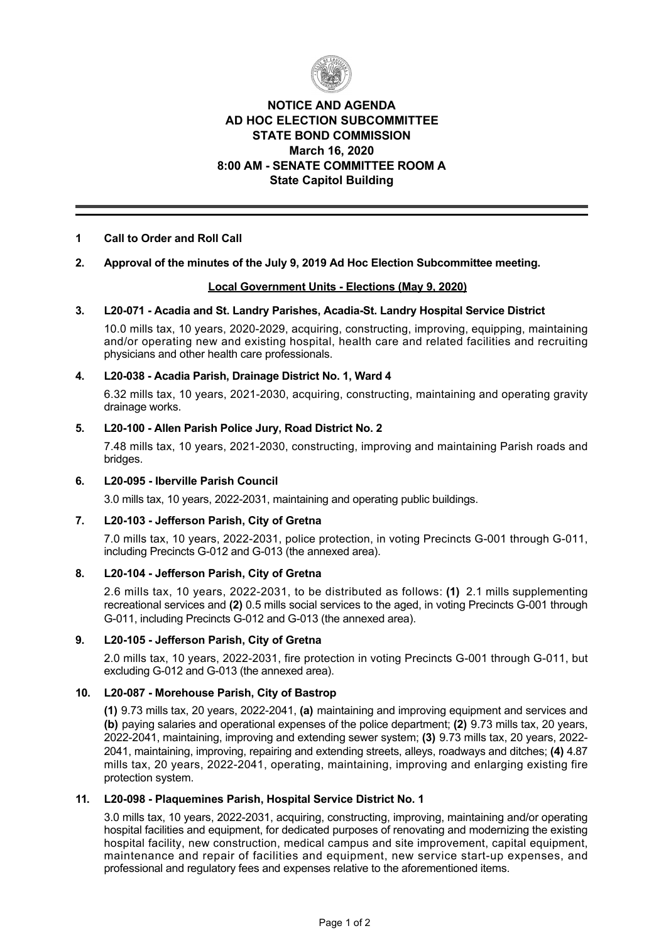

# **NOTICE AND AGENDA AD HOC ELECTION SUBCOMMITTEE STATE BOND COMMISSION March 16, 2020 8:00 AM SENATE COMMITTEE ROOM A State Capitol Building**

## **1 Call to Order and Roll Call**

## **2. Approval of the minutes of the July 9, 2019 Ad Hoc Election Subcommittee meeting.**

### **Local Government Units Elections (May 9, 2020)**

#### **3. L20071 Acadia and St. Landry Parishes, AcadiaSt. Landry Hospital Service District**

10.0 mills tax, 10 years, 2020-2029, acquiring, constructing, improving, equipping, maintaining and/or operating new and existing hospital, health care and related facilities and recruiting physicians and other health care professionals.

## 4. L20-038 - Acadia Parish, Drainage District No. 1, Ward 4

6.32 mills tax, 10 years, 2021-2030, acquiring, constructing, maintaining and operating gravity drainage works.

### **5. L20100 Allen Parish Police Jury, Road District No. 2**

7.48 mills tax, 10 years, 2021-2030, constructing, improving and maintaining Parish roads and bridges.

#### **6. L20095 Iberville Parish Council**

3.0 mills tax, 10 years, 2022-2031, maintaining and operating public buildings.

### 7. L20-103 - Jefferson Parish, City of Gretna

7.0 mills tax, 10 years, 2022-2031, police protection, in voting Precincts G-001 through G-011, including Precincts G-012 and G-013 (the annexed area).

### 8. L20-104 - Jefferson Parish, City of Gretna

2.6 mills tax, 10 years, 20222031, to be distributed as follows: **(1)** 2.1 mills supplementing recreational services and (2) 0.5 mills social services to the aged, in voting Precincts G-001 through G-011, including Precincts G-012 and G-013 (the annexed area).

### **9. L20105 Jefferson Parish, City of Gretna**

2.0 mills tax, 10 years, 2022-2031, fire protection in voting Precincts G-001 through G-011, but excluding G-012 and G-013 (the annexed area).

## 10. L20-087 - Morehouse Parish, City of Bastrop

**(1)** 9.73 mills tax, 20 years, 20222041, **(a)** maintaining and improving equipment and services and **(b)** paying salaries and operational expenses of the police department; **(2)** 9.73 mills tax, 20 years, 20222041, maintaining, improving and extending sewer system; **(3)** 9.73 mills tax, 20 years, 2022 2041, maintaining, improving, repairing and extending streets, alleys, roadways and ditches; **(4)** 4.87 mills tax, 20 years, 2022-2041, operating, maintaining, improving and enlarging existing fire protection system.

#### 11. L20-098 - Plaquemines Parish, Hospital Service District No. 1

3.0 mills tax, 10 years, 20222031, acquiring, constructing, improving, maintaining and/or operating hospital facilities and equipment, for dedicated purposes of renovating and modernizing the existing hospital facility, new construction, medical campus and site improvement, capital equipment, maintenance and repair of facilities and equipment, new service start-up expenses, and professional and regulatory fees and expenses relative to the aforementioned items.